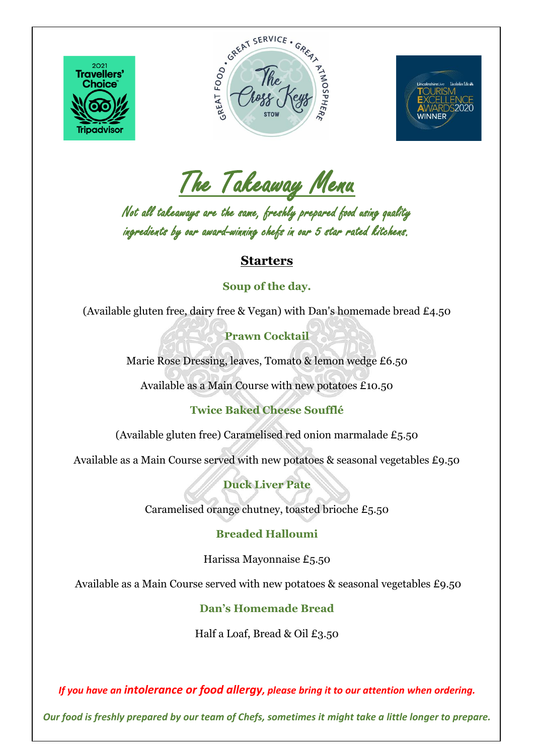

 $\overline{\phantom{a}}$ 





The Takeaway Menu

Not all takeaways are the same, freshly prepared food using quality ingredients by our award-winning chefs in our 5 star rated kitchens.

## **Starters**

## **Soup of the day.**

(Available gluten free, dairy free & Vegan) with Dan's homemade bread £4.50

**Prawn Cocktail**

Marie Rose Dressing, leaves, Tomato & lemon wedge £6.50

Available as a Main Course with new potatoes £10.50

**Twice Baked Cheese Soufflé**

(Available gluten free) Caramelised red onion marmalade £5.50

Available as a Main Course served with new potatoes & seasonal vegetables £9.50

**Duck Liver Pate**

Caramelised orange chutney, toasted brioche £5.50

## **Breaded Halloumi**

Harissa Mayonnaise £5.50

Available as a Main Course served with new potatoes & seasonal vegetables £9.50

**Dan's Homemade Bread** 

Half a Loaf, Bread & Oil £3.50

*If you have an intolerance or food allergy, please bring it to our attention when ordering.*

*Our food is freshly prepared by our team of Chefs, sometimes it might take a little longer to prepare.*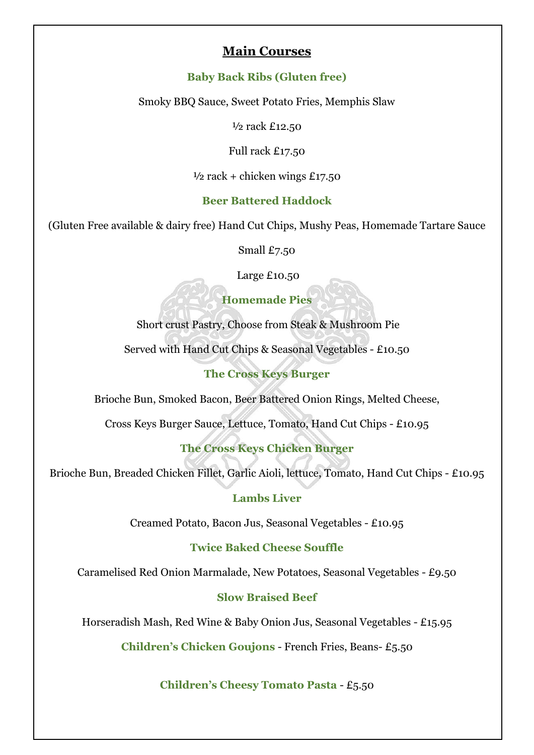## **Main Courses**

#### **Baby Back Ribs (Gluten free)**

Smoky BBQ Sauce, Sweet Potato Fries, Memphis Slaw

½ rack £12.50

Full rack £17.50

 $\frac{1}{2}$  rack + chicken wings £17.50

#### **Beer Battered Haddock**

(Gluten Free available & dairy free) Hand Cut Chips, Mushy Peas, Homemade Tartare Sauce

Small £7.50

Large £10.50

**Homemade Pies**

Short crust Pastry, Choose from Steak & Mushroom Pie

Served with Hand Cut Chips & Seasonal Vegetables - £10.50

## **The Cross Keys Burger**

Brioche Bun, Smoked Bacon, Beer Battered Onion Rings, Melted Cheese,

Cross Keys Burger Sauce, Lettuce, Tomato, Hand Cut Chips - £10.95

## **The Cross Keys Chicken Burger**

Brioche Bun, Breaded Chicken Fillet, Garlic Aioli, lettuce, Tomato, Hand Cut Chips - £10.95

#### **Lambs Liver**

Creamed Potato, Bacon Jus, Seasonal Vegetables - £10.95

## **Twice Baked Cheese Souffle**

Caramelised Red Onion Marmalade, New Potatoes, Seasonal Vegetables - £9.50

#### **Slow Braised Beef**

Horseradish Mash, Red Wine & Baby Onion Jus, Seasonal Vegetables - £15.95

**Children's Chicken Goujons** - French Fries, Beans- £5.50

**Children's Cheesy Tomato Pasta** - £5.50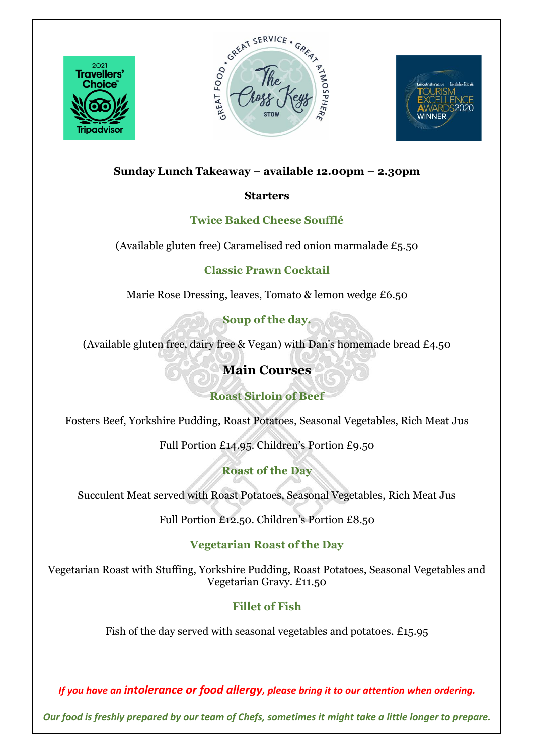

 $\overline{\phantom{a}}$ 





## **Sunday Lunch Takeaway – available 12.00pm – 2.30pm**

## **Starters**

## **Twice Baked Cheese Soufflé**

(Available gluten free) Caramelised red onion marmalade £5.50

## **Classic Prawn Cocktail**

Marie Rose Dressing, leaves, Tomato & lemon wedge £6.50

**Soup of the day.**

(Available gluten free, dairy free & Vegan) with Dan's homemade bread £4.50

# **Main Courses**

**Roast Sirloin of Beef**

Fosters Beef, Yorkshire Pudding, Roast Potatoes, Seasonal Vegetables, Rich Meat Jus

Full Portion £14.95. Children's Portion £9.50

**Roast of the Day**

Succulent Meat served with Roast Potatoes, Seasonal Vegetables, Rich Meat Jus

Full Portion £12.50. Children's Portion £8.50

## **Vegetarian Roast of the Day**

Vegetarian Roast with Stuffing, Yorkshire Pudding, Roast Potatoes, Seasonal Vegetables and Vegetarian Gravy. £11.50

## **Fillet of Fish**

Fish of the day served with seasonal vegetables and potatoes. £15.95

*If you have an intolerance or food allergy, please bring it to our attention when ordering.*

*Our food is freshly prepared by our team of Chefs, sometimes it might take a little longer to prepare.*